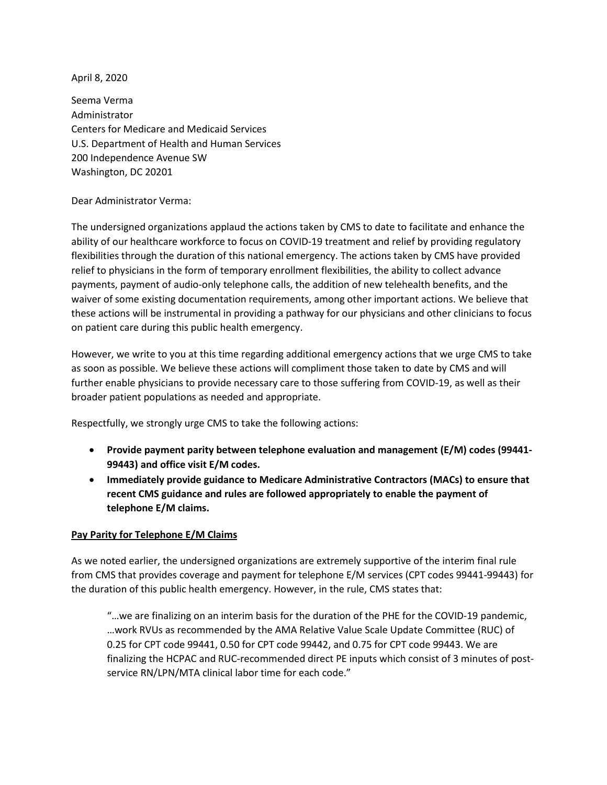April 8, 2020

Seema Verma Administrator Centers for Medicare and Medicaid Services U.S. Department of Health and Human Services 200 Independence Avenue SW Washington, DC 20201

Dear Administrator Verma:

The undersigned organizations applaud the actions taken by CMS to date to facilitate and enhance the ability of our healthcare workforce to focus on COVID-19 treatment and relief by providing regulatory flexibilities through the duration of this national emergency. The actions taken by CMS have provided relief to physicians in the form of temporary enrollment flexibilities, the ability to collect advance payments, payment of audio-only telephone calls, the addition of new telehealth benefits, and the waiver of some existing documentation requirements, among other important actions. We believe that these actions will be instrumental in providing a pathway for our physicians and other clinicians to focus on patient care during this public health emergency.

However, we write to you at this time regarding additional emergency actions that we urge CMS to take as soon as possible. We believe these actions will compliment those taken to date by CMS and will further enable physicians to provide necessary care to those suffering from COVID-19, as well as their broader patient populations as needed and appropriate.

Respectfully, we strongly urge CMS to take the following actions:

- **Provide payment parity between telephone evaluation and management (E/M) codes (99441- 99443) and office visit E/M codes.**
- **Immediately provide guidance to Medicare Administrative Contractors (MACs) to ensure that recent CMS guidance and rules are followed appropriately to enable the payment of telephone E/M claims.**

## **Pay Parity for Telephone E/M Claims**

As we noted earlier, the undersigned organizations are extremely supportive of the interim final rule from CMS that provides coverage and payment for telephone E/M services (CPT codes 99441-99443) for the duration of this public health emergency. However, in the rule, CMS states that:

"…we are finalizing on an interim basis for the duration of the PHE for the COVID-19 pandemic, …work RVUs as recommended by the AMA Relative Value Scale Update Committee (RUC) of 0.25 for CPT code 99441, 0.50 for CPT code 99442, and 0.75 for CPT code 99443. We are finalizing the HCPAC and RUC-recommended direct PE inputs which consist of 3 minutes of postservice RN/LPN/MTA clinical labor time for each code."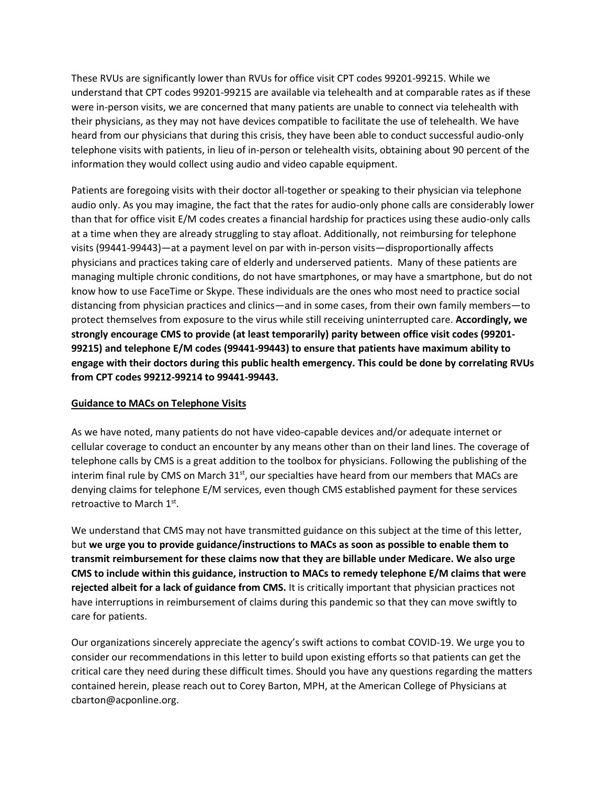These RVUs are significantly lower than RVUs for office visit CPT codes 99201-99215. While we understand that CPT codes 99201-99215 are available via telehealth and at comparable rates as if these were in-person visits, we are concerned that many patients are unable to connect via telehealth with their physicians, as they may not have devices compatible to facilitate the use of telehealth. We have heard from our physicians that during this crisis, they have been able to conduct successful audio-only telephone visits with patients, in lieu of in-person or telehealth visits, obtaining about 90 percent of the information they would collect using audio and video capable equipment.

Patients are foregoing visits with their doctor all-together or speaking to their physician via telephone audio only. As you may imagine, the fact that the rates for audio-only phone calls are considerably lower than that for office visit E/M codes creates a financial hardship for practices using these audio-only calls at a time when they are already struggling to stay afloat. Additionally, not reimbursing for telephone visits (99441-99443)—at a payment level on par with in-person visits—disproportionally affects physicians and practices taking care of elderly and underserved patients. Many of these patients are managing multiple chronic conditions, do not have smartphones, or may have a smartphone, but do not know how to use FaceTime or Skype. These individuals are the ones who most need to practice social distancing from physician practices and clinics—and in some cases, from their own family members—to protect themselves from exposure to the virus while still receiving uninterrupted care. **Accordingly, we strongly encourage CMS to provide (at least temporarily) parity between office visit codes (99201- 99215) and telephone E/M codes (99441-99443) to ensure that patients have maximum ability to engage with their doctors during this public health emergency. This could be done by correlating RVUs from CPT codes 99212-99214 to 99441-99443.**

## **Guidance to MACs on Telephone Visits**

As we have noted, many patients do not have video-capable devices and/or adequate internet or cellular coverage to conduct an encounter by any means other than on their land lines. The coverage of telephone calls by CMS is a great addition to the toolbox for physicians. Following the publishing of the [interim final rule](https://www.cms.gov/files/document/covid-final-ifc.pdf) by CMS on March  $31<sup>st</sup>$ , our specialties have heard from our members that MACs are denying claims for telephone E/M services, even though CMS established payment for these services retroactive to March 1st.

We understand that CMS may not have transmitted guidance on this subject at the time of this letter, but **we urge you to provide guidance/instructions to MACs as soon as possible to enable them to transmit reimbursement for these claims now that they are billable under Medicare. We also urge CMS to include within this guidance, instruction to MACs to remedy telephone E/M claims that were rejected albeit for a lack of guidance from CMS.** It is critically important that physician practices not have interruptions in reimbursement of claims during this pandemic so that they can move swiftly to care for patients.

Our organizations sincerely appreciate the agency's swift actions to combat COVID-19. We urge you to consider our recommendations in this letter to build upon existing efforts so that patients can get the critical care they need during these difficult times. Should you have any questions regarding the matters contained herein, please reach out to Corey Barton, MPH, at the American College of Physicians at [cbarton@acponline.org.](mailto:cbarton@acponline.org)